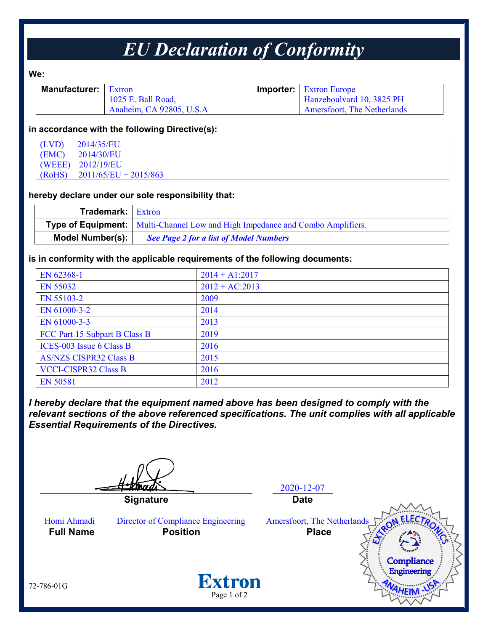# *EU Declaration of Conformity*

**We:**

| <b>Manufacturer:</b>   Extron |                          | <b>Importer:</b> Extron Europe     |
|-------------------------------|--------------------------|------------------------------------|
|                               | 1025 E. Ball Road,       | Hanzeboulvard 10, 3825 PH          |
|                               | Anaheim, CA 92805, U.S.A | <b>Amersfoort, The Netherlands</b> |

### **in accordance with the following Directive(s):**

| $(LVD)$ 2014/35/EU             |
|--------------------------------|
| $(EMC)$ 2014/30/EU             |
| (WEEE) 2012/19/EU              |
| $(RoHS)$ 2011/65/EU + 2015/863 |

## **hereby declare under our sole responsibility that:**

| <b>Trademark:</b> Extron |                                                                                      |
|--------------------------|--------------------------------------------------------------------------------------|
|                          | <b>Type of Equipment:</b> Multi-Channel Low and High Impedance and Combo Amplifiers. |
| <b>Model Number(s):</b>  | <b>See Page 2 for a list of Model Numbers</b>                                        |

## **is in conformity with the applicable requirements of the following documents:**

| EN 62368-1                    | $2014 + A1:2017$ |
|-------------------------------|------------------|
| EN 55032                      | $2012 + AC:2013$ |
| EN 55103-2                    | 2009             |
| EN 61000-3-2                  | 2014             |
| EN 61000-3-3                  | 2013             |
| FCC Part 15 Subpart B Class B | 2019             |
| ICES-003 Issue 6 Class B      | 2016             |
| <b>AS/NZS CISPR32 Class B</b> | 2015             |
| <b>VCCI-CISPR32 Class B</b>   | 2016             |
| <b>EN 50581</b>               | 2012             |

*I hereby declare that the equipment named above has been designed to comply with the relevant sections of the above referenced specifications. The unit complies with all applicable Essential Requirements of the Directives.*